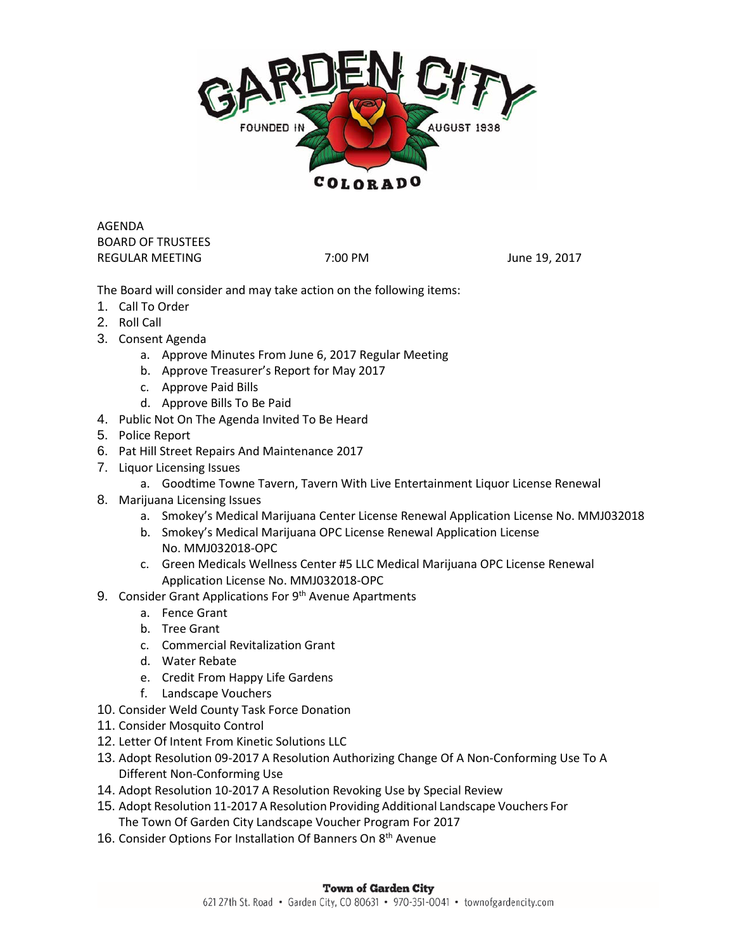

AGENDA BOARD OF TRUSTEES REGULAR MEETING 7:00 PM 7:00 PM June 19, 2017

The Board will consider and may take action on the following items:

- 1. Call To Order
- 2. Roll Call
- 3. Consent Agenda
	- a. Approve Minutes From June 6, 2017 Regular Meeting
	- b. Approve Treasurer's Report for May 2017
	- c. Approve Paid Bills
	- d. Approve Bills To Be Paid
- 4. Public Not On The Agenda Invited To Be Heard
- 5. Police Report
- 6. Pat Hill Street Repairs And Maintenance 2017
- 7. Liquor Licensing Issues
	- a. Goodtime Towne Tavern, Tavern With Live Entertainment Liquor License Renewal
- 8. Marijuana Licensing Issues
	- a. Smokey's Medical Marijuana Center License Renewal Application License No. MMJ032018
	- b. Smokey's Medical Marijuana OPC License Renewal Application License No. MMJ032018-OPC
	- c. Green Medicals Wellness Center #5 LLC Medical Marijuana OPC License Renewal Application License No. MMJ032018-OPC
- 9. Consider Grant Applications For 9<sup>th</sup> Avenue Apartments
	- a. Fence Grant
	- b. Tree Grant
	- c. Commercial Revitalization Grant
	- d. Water Rebate
	- e. Credit From Happy Life Gardens
	- f. Landscape Vouchers
- 10. Consider Weld County Task Force Donation
- 11. Consider Mosquito Control
- 12. Letter Of Intent From Kinetic Solutions LLC
- 13. Adopt Resolution 09-2017 A Resolution Authorizing Change Of A Non-Conforming Use To A Different Non-Conforming Use
- 14. Adopt Resolution 10-2017 A Resolution Revoking Use by Special Review
- 15. Adopt Resolution 11-2017 A Resolution Providing Additional Landscape Vouchers For The Town Of Garden City Landscape Voucher Program For 2017
- 16. Consider Options For Installation Of Banners On 8<sup>th</sup> Avenue